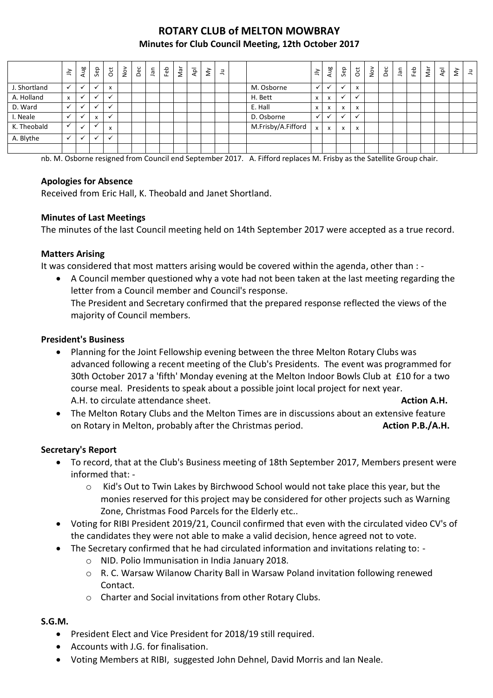# **ROTARY CLUB of MELTON MOWBRAY Minutes for Club Council Meeting, 12th October 2017**

|              | $\preceq$                 | Aug | Sep            | ğ            | $\frac{5}{2}$ | Dec | ner | Feb | Nar | $\overline{P}$ | $\check{\varepsilon}$ | $\exists$ |                    | $\preceq$    | Aug                       | Sep          | $\overline{5}$ | $\sum_{i=1}^{n}$ | Dec | lan | E | Nar | $\bar{A}$ | š | $\exists$ |
|--------------|---------------------------|-----|----------------|--------------|---------------|-----|-----|-----|-----|----------------|-----------------------|-----------|--------------------|--------------|---------------------------|--------------|----------------|------------------|-----|-----|---|-----|-----------|---|-----------|
| J. Shortland |                           |     | $\cdot$        | $\mathsf{x}$ |               |     |     |     |     |                |                       |           | M. Osborne         | $\checkmark$ |                           | $\checkmark$ | X              |                  |     |     |   |     |           |   |           |
| A. Holland   | $\boldsymbol{\mathsf{x}}$ |     | $\checkmark$   | $\checkmark$ |               |     |     |     |     |                |                       |           | H. Bett            | x            | $\mathsf{x}$              | $\check{ }$  |                |                  |     |     |   |     |           |   |           |
| D. Ward      | $\checkmark$              |     | $\overline{ }$ | $\checkmark$ |               |     |     |     |     |                |                       |           | E. Hall            | x            | X                         | $\mathsf{x}$ | X              |                  |     |     |   |     |           |   |           |
| I. Neale     |                           |     | X              | $\checkmark$ |               |     |     |     |     |                |                       |           | D. Osborne         | $\mathbf{v}$ |                           |              |                |                  |     |     |   |     |           |   |           |
| K. Theobald  | $\checkmark$              |     |                | x            |               |     |     |     |     |                |                       |           | M.Frisby/A.Fifford | $\mathsf{x}$ | $\boldsymbol{\mathsf{x}}$ | $\mathsf{x}$ | X              |                  |     |     |   |     |           |   |           |
| A. Blythe    | $\checkmark$              | ✔   | $\checkmark$   | $\checkmark$ |               |     |     |     |     |                |                       |           |                    |              |                           |              |                |                  |     |     |   |     |           |   |           |
|              |                           |     |                |              |               |     |     |     |     |                |                       |           |                    |              |                           |              |                |                  |     |     |   |     |           |   |           |

nb. M. Osborne resigned from Council end September 2017. A. Fifford replaces M. Frisby as the Satellite Group chair.

#### **Apologies for Absence**

Received from Eric Hall, K. Theobald and Janet Shortland.

### **Minutes of Last Meetings**

The minutes of the last Council meeting held on 14th September 2017 were accepted as a true record.

#### **Matters Arising**

It was considered that most matters arising would be covered within the agenda, other than : -

 A Council member questioned why a vote had not been taken at the last meeting regarding the letter from a Council member and Council's response. The President and Secretary confirmed that the prepared response reflected the views of the majority of Council members.

#### **President's Business**

- Planning for the Joint Fellowship evening between the three Melton Rotary Clubs was advanced following a recent meeting of the Club's Presidents. The event was programmed for 30th October 2017 a 'fifth' Monday evening at the Melton Indoor Bowls Club at £10 for a two course meal. Presidents to speak about a possible joint local project for next year. A.H. to circulate attendance sheet. **Action A.H. Action A.H. Action A.H.**
- The Melton Rotary Clubs and the Melton Times are in discussions about an extensive feature on Rotary in Melton, probably after the Christmas period. **Action P.B./A.H. Action P.B./A.H.**

### **Secretary's Report**

- To record, that at the Club's Business meeting of 18th September 2017, Members present were informed that:
	- o Kid's Out to Twin Lakes by Birchwood School would not take place this year, but the monies reserved for this project may be considered for other projects such as Warning Zone, Christmas Food Parcels for the Elderly etc..
- Voting for RIBI President 2019/21, Council confirmed that even with the circulated video CV's of the candidates they were not able to make a valid decision, hence agreed not to vote.
- The Secretary confirmed that he had circulated information and invitations relating to:
	- o NID. Polio Immunisation in India January 2018.
	- o R. C. Warsaw Wilanow Charity Ball in Warsaw Poland invitation following renewed Contact.
	- o Charter and Social invitations from other Rotary Clubs.

#### **S.G.M.**

- President Elect and Vice President for 2018/19 still required.
- Accounts with J.G. for finalisation.
- Voting Members at RIBI, suggested John Dehnel, David Morris and Ian Neale.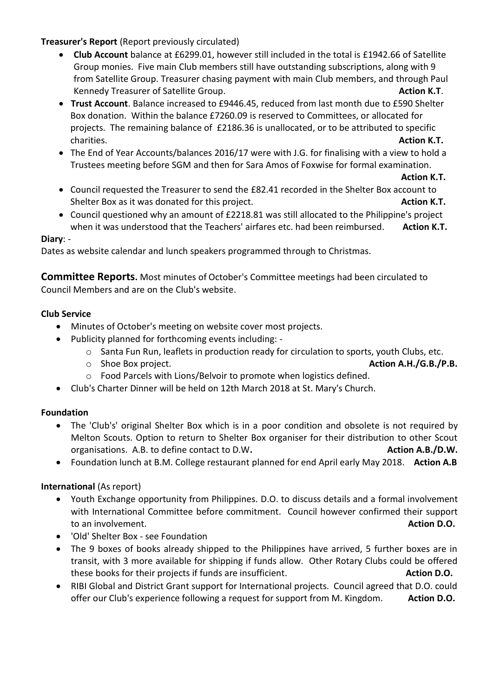# **Treasurer's Report** (Report previously circulated)

- **Club Account** balance at £6299.01, however still included in the total is £1942.66 of Satellite Group monies. Five main Club members still have outstanding subscriptions, along with 9 from Satellite Group. Treasurer chasing payment with main Club members, and through Paul Kennedy Treasurer of Satellite Group. **Action K.T. Action K.T. Action K.T.**
- **Trust Account**. Balance increased to £9446.45, reduced from last month due to £590 Shelter Box donation. Within the balance £7260.09 is reserved to Committees, or allocated for projects. The remaining balance of £2186.36 is unallocated, or to be attributed to specific charities. **Action K.T.**
- The End of Year Accounts/balances 2016/17 were with J.G. for finalising with a view to hold a Trustees meeting before SGM and then for Sara Amos of Foxwise for formal examination.

#### **Action K.T.**

- Council requested the Treasurer to send the £82.41 recorded in the Shelter Box account to Shelter Box as it was donated for this project. **Action K.T. Action K.T.**
- Council questioned why an amount of £2218.81 was still allocated to the Philippine's project when it was understood that the Teachers' airfares etc. had been reimbursed. **Action K.T.**

#### **Diary**: -

Dates as website calendar and lunch speakers programmed through to Christmas.

**Committee Reports.** Most minutes of October's Committee meetings had been circulated to Council Members and are on the Club's website.

### **Club Service**

- Minutes of October's meeting on website cover most projects.
- Publicity planned for forthcoming events including:
	- o Santa Fun Run, leaflets in production ready for circulation to sports, youth Clubs, etc.

o Shoe Box project. **Action A.H./G.B./P.B.**

- o Food Parcels with Lions/Belvoir to promote when logistics defined.
- Club's Charter Dinner will be held on 12th March 2018 at St. Mary's Church.

### **Foundation**

- The 'Club's' original Shelter Box which is in a poor condition and obsolete is not required by Melton Scouts. Option to return to Shelter Box organiser for their distribution to other Scout organisations. A.B. to define contact to D.W. **Action A.B./D.W. Action A.B./D.W.**
- Foundation lunch at B.M. College restaurant planned for end April early May 2018. **Action A.B**

### **International** (As report)

- Youth Exchange opportunity from Philippines. D.O. to discuss details and a formal involvement with International Committee before commitment. Council however confirmed their support to an involvement. **Action D.O.**
- 'Old' Shelter Box see Foundation
- The 9 boxes of books already shipped to the Philippines have arrived, 5 further boxes are in transit, with 3 more available for shipping if funds allow. Other Rotary Clubs could be offered these books for their projects if funds are insufficient. **Action D.O.**
- RIBI Global and District Grant support for International projects. Council agreed that D.O. could offer our Club's experience following a request for support from M. Kingdom. **Action D.O.**